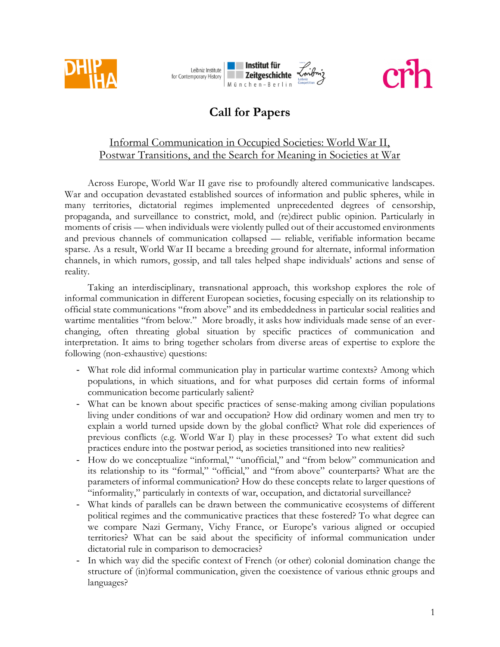





# **Call for Papers**

## Informal Communication in Occupied Societies: World War II, Postwar Transitions, and the Search for Meaning in Societies at War

Across Europe, World War II gave rise to profoundly altered communicative landscapes. War and occupation devastated established sources of information and public spheres, while in many territories, dictatorial regimes implemented unprecedented degrees of censorship, propaganda, and surveillance to constrict, mold, and (re)direct public opinion. Particularly in moments of crisis — when individuals were violently pulled out of their accustomed environments and previous channels of communication collapsed — reliable, verifiable information became sparse. As a result, World War II became a breeding ground for alternate, informal information channels, in which rumors, gossip, and tall tales helped shape individuals' actions and sense of reality.

Taking an interdisciplinary, transnational approach, this workshop explores the role of informal communication in different European societies, focusing especially on its relationship to official state communications "from above" and its embeddedness in particular social realities and wartime mentalities "from below." More broadly, it asks how individuals made sense of an everchanging, often threating global situation by specific practices of communication and interpretation. It aims to bring together scholars from diverse areas of expertise to explore the following (non-exhaustive) questions:

- What role did informal communication play in particular wartime contexts? Among which populations, in which situations, and for what purposes did certain forms of informal communication become particularly salient?
- What can be known about specific practices of sense-making among civilian populations living under conditions of war and occupation? How did ordinary women and men try to explain a world turned upside down by the global conflict? What role did experiences of previous conflicts (e.g. World War I) play in these processes? To what extent did such practices endure into the postwar period, as societies transitioned into new realities?
- How do we conceptualize "informal," "unofficial," and "from below" communication and its relationship to its "formal," "official," and "from above" counterparts? What are the parameters of informal communication? How do these concepts relate to larger questions of "informality," particularly in contexts of war, occupation, and dictatorial surveillance?
- What kinds of parallels can be drawn between the communicative ecosystems of different political regimes and the communicative practices that these fostered? To what degree can we compare Nazi Germany, Vichy France, or Europe's various aligned or occupied territories? What can be said about the specificity of informal communication under dictatorial rule in comparison to democracies?
- In which way did the specific context of French (or other) colonial domination change the structure of (in)formal communication, given the coexistence of various ethnic groups and languages?